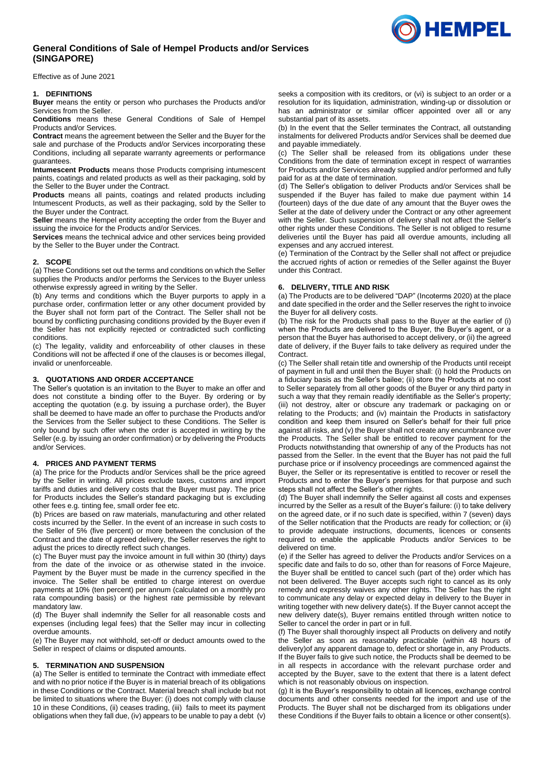# **General Conditions of Sale of Hempel Products and/or Services (SINGAPORE)**

Effective as of June 2021

## **1. DEFINITIONS**

**Buyer** means the entity or person who purchases the Products and/or Services from the Seller.

**Conditions** means these General Conditions of Sale of Hempel Products and/or Services.

**Contract** means the agreement between the Seller and the Buyer for the sale and purchase of the Products and/or Services incorporating these Conditions, including all separate warranty agreements or performance guarantees.

**Intumescent Products** means those Products comprising intumescent paints, coatings and related products as well as their packaging, sold by the Seller to the Buyer under the Contract.

**Products** means all paints, coatings and related products including Intumescent Products, as well as their packaging, sold by the Seller to the Buyer under the Contract.

**Seller** means the Hempel entity accepting the order from the Buyer and issuing the invoice for the Products and/or Services.

**Services** means the technical advice and other services being provided by the Seller to the Buyer under the Contract.

## **2. SCOPE**

(a) These Conditions set out the terms and conditions on which the Seller supplies the Products and/or performs the Services to the Buyer unless otherwise expressly agreed in writing by the Seller.

(b) Any terms and conditions which the Buyer purports to apply in a purchase order, confirmation letter or any other document provided by the Buyer shall not form part of the Contract. The Seller shall not be bound by conflicting purchasing conditions provided by the Buyer even if the Seller has not explicitly rejected or contradicted such conflicting conditions.

(c) The legality, validity and enforceability of other clauses in these Conditions will not be affected if one of the clauses is or becomes illegal, invalid or unenforceable.

## **3. QUOTATIONS AND ORDER ACCEPTANCE**

The Seller's quotation is an invitation to the Buyer to make an offer and does not constitute a binding offer to the Buyer. By ordering or by accepting the quotation (e.g. by issuing a purchase order), the Buyer shall be deemed to have made an offer to purchase the Products and/or the Services from the Seller subject to these Conditions. The Seller is only bound by such offer when the order is accepted in writing by the Seller (e.g. by issuing an order confirmation) or by delivering the Products and/or Services.

## **4. PRICES AND PAYMENT TERMS**

(a) The price for the Products and/or Services shall be the price agreed by the Seller in writing. All prices exclude taxes, customs and import tariffs and duties and delivery costs that the Buyer must pay. The price for Products includes the Seller's standard packaging but is excluding other fees e.g. tinting fee, small order fee etc.

(b) Prices are based on raw materials, manufacturing and other related costs incurred by the Seller. In the event of an increase in such costs to the Seller of 5% (five percent) or more between the conclusion of the Contract and the date of agreed delivery, the Seller reserves the right to adjust the prices to directly reflect such changes.

(c) The Buyer must pay the invoice amount in full within 30 (thirty) days from the date of the invoice or as otherwise stated in the invoice. Payment by the Buyer must be made in the currency specified in the invoice. The Seller shall be entitled to charge interest on overdue payments at 10% (ten percent) per annum (calculated on a monthly pro rata compounding basis) or the highest rate permissible by relevant mandatory law.

(d) The Buyer shall indemnify the Seller for all reasonable costs and expenses (including legal fees) that the Seller may incur in collecting overdue amounts.

(e) The Buyer may not withhold, set-off or deduct amounts owed to the Seller in respect of claims or disputed amounts.

#### **5. TERMINATION AND SUSPENSION**

(a) The Seller is entitled to terminate the Contract with immediate effect and with no prior notice if the Buyer is in material breach of its obligations in these Conditions or the Contract. Material breach shall include but not be limited to situations where the Buyer: (i) does not comply with clause [10](#page-1-0) in these Conditions, (ii) ceases trading, (iii) fails to meet its payment obligations when they fall due, (iv) appears to be unable to pay a debt (v)

seeks a composition with its creditors, or (vi) is subject to an order or a resolution for its liquidation, administration, winding-up or dissolution or has an administrator or similar officer appointed over all or any substantial part of its assets.

(b) In the event that the Seller terminates the Contract, all outstanding instalments for delivered Products and/or Services shall be deemed due and payable immediately.

(c) The Seller shall be released from its obligations under these Conditions from the date of termination except in respect of warranties for Products and/or Services already supplied and/or performed and fully paid for as at the date of termination.

(d) The Seller's obligation to deliver Products and/or Services shall be suspended if the Buyer has failed to make due payment within 14 (fourteen) days of the due date of any amount that the Buyer owes the Seller at the date of delivery under the Contract or any other agreement with the Seller. Such suspension of delivery shall not affect the Seller's other rights under these Conditions. The Seller is not obliged to resume deliveries until the Buyer has paid all overdue amounts, including all expenses and any accrued interest.

(e) Termination of the Contract by the Seller shall not affect or prejudice the accrued rights of action or remedies of the Seller against the Buyer under this Contract.

#### **6. DELIVERY, TITLE AND RISK**

(a) The Products are to be delivered "DAP" (Incoterms 2020) at the place and date specified in the order and the Seller reserves the right to invoice the Buyer for all delivery costs.

(b) The risk for the Products shall pass to the Buyer at the earlier of (i) when the Products are delivered to the Buyer, the Buyer's agent, or a person that the Buyer has authorised to accept delivery, or (ii) the agreed date of delivery, if the Buyer fails to take delivery as required under the Contract.

(c) The Seller shall retain title and ownership of the Products until receipt of payment in full and until then the Buyer shall: (i) hold the Products on a fiduciary basis as the Seller's bailee; (ii) store the Products at no cost to Seller separately from all other goods of the Buyer or any third party in such a way that they remain readily identifiable as the Seller's property; (iii) not destroy, alter or obscure any trademark or packaging on or relating to the Products; and (iv) maintain the Products in satisfactory condition and keep them insured on Seller's behalf for their full price against all risks, and (v) the Buyer shall not create any encumbrance over the Products. The Seller shall be entitled to recover payment for the Products notwithstanding that ownership of any of the Products has not passed from the Seller. In the event that the Buyer has not paid the full purchase price or if insolvency proceedings are commenced against the Buyer, the Seller or its representative is entitled to recover or resell the Products and to enter the Buyer's premises for that purpose and such steps shall not affect the Seller's other rights.

(d) The Buyer shall indemnify the Seller against all costs and expenses incurred by the Seller as a result of the Buyer's failure: (i) to take delivery on the agreed date, or if no such date is specified, within 7 (seven) days of the Seller notification that the Products are ready for collection; or (ii) to provide adequate instructions, documents, licences or consents required to enable the applicable Products and/or Services to be delivered on time.

(e) if the Seller has agreed to deliver the Products and/or Services on a specific date and fails to do so, other than for reasons of Force Majeure, the Buyer shall be entitled to cancel such (part of the) order which has not been delivered. The Buyer accepts such right to cancel as its only remedy and expressly waives any other rights. The Seller has the right to communicate any delay or expected delay in delivery to the Buyer in writing together with new delivery date(s). If the Buyer cannot accept the new delivery date(s), Buyer remains entitled through written notice to Seller to cancel the order in part or in full.

(f) The Buyer shall thoroughly inspect all Products on delivery and notify the Seller as soon as reasonably practicable (within 48 hours of delivery)of any apparent damage to, defect or shortage in, any Products. If the Buyer fails to give such notice, the Products shall be deemed to be in all respects in accordance with the relevant purchase order and accepted by the Buyer, save to the extent that there is a latent defect which is not reasonably obvious on inspection.

(g) It is the Buyer's responsibility to obtain all licences, exchange control documents and other consents needed for the import and use of the Products. The Buyer shall not be discharged from its obligations under these Conditions if the Buyer fails to obtain a licence or other consent(s).

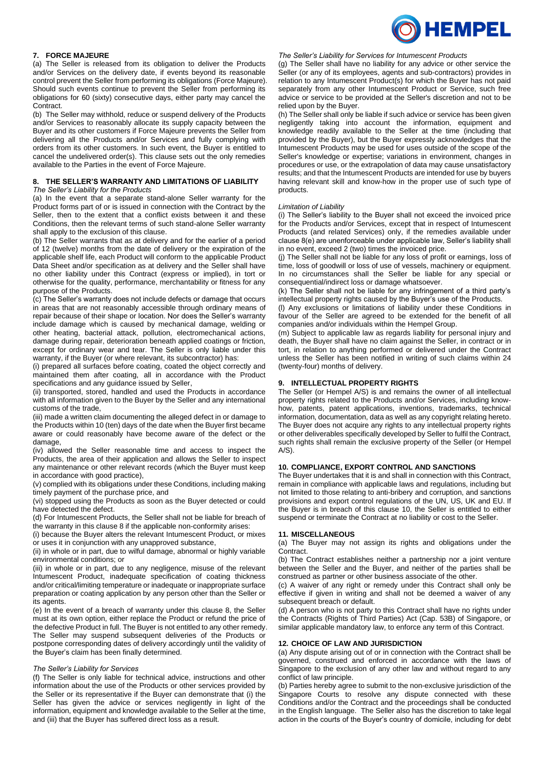

## **7. FORCE MAJEURE**

(a) The Seller is released from its obligation to deliver the Products and/or Services on the delivery date, if events beyond its reasonable control prevent the Seller from performing its obligations (Force Majeure). Should such events continue to prevent the Seller from performing its obligations for 60 (sixty) consecutive days, either party may cancel the Contract.

(b) The Seller may withhold, reduce or suspend delivery of the Products and/or Services to reasonably allocate its supply capacity between the Buyer and its other customers if Force Majeure prevents the Seller from delivering all the Products and/or Services and fully complying with orders from its other customers. In such event, the Buyer is entitled to cancel the undelivered order(s). This clause sets out the only remedies available to the Parties in the event of Force Majeure.

#### **8. THE SELLER'S WARRANTY AND LIMITATIONS OF LIABILITY** *The Seller's Liability for the Products*

(a) In the event that a separate stand-alone Seller warranty for the Product forms part of or is issued in connection with the Contract by the Seller, then to the extent that a conflict exists between it and these Conditions, then the relevant terms of such stand-alone Seller warranty shall apply to the exclusion of this clause.

(b) The Seller warrants that as at delivery and for the earlier of a period of 12 (twelve) months from the date of delivery or the expiration of the applicable shelf life, each Product will conform to the applicable Product Data Sheet and/or specification as at delivery and the Seller shall have no other liability under this Contract (express or implied), in tort or otherwise for the quality, performance, merchantability or fitness for any purpose of the Products.

(c) The Seller's warranty does not include defects or damage that occurs in areas that are not reasonably accessible through ordinary means of repair because of their shape or location. Nor does the Seller's warranty include damage which is caused by mechanical damage, welding or other heating, bacterial attack, pollution, electromechanical actions, damage during repair, deterioration beneath applied coatings or friction, except for ordinary wear and tear. The Seller is only liable under this warranty, if the Buyer (or where relevant, its subcontractor) has:

(i) prepared all surfaces before coating, coated the object correctly and maintained them after coating, all in accordance with the Product specifications and any guidance issued by Seller,

(ii) transported, stored, handled and used the Products in accordance with all information given to the Buyer by the Seller and any international customs of the trade,

(iii) made a written claim documenting the alleged defect in or damage to the Products within 10 (ten) days of the date when the Buyer first became aware or could reasonably have become aware of the defect or the damage,

(iv) allowed the Seller reasonable time and access to inspect the Products, the area of their application and allows the Seller to inspect any maintenance or other relevant records (which the Buyer must keep in accordance with good practice),

(v) complied with its obligations under these Conditions, including making timely payment of the purchase price, and

(vi) stopped using the Products as soon as the Buyer detected or could have detected the defect.

(d) For Intumescent Products, the Seller shall not be liable for breach of the warranty in this clause 8 if the applicable non-conformity arises:

(i) because the Buyer alters the relevant Intumescent Product, or mixes or uses it in conjunction with any unapproved substance,

(ii) in whole or in part, due to wilful damage, abnormal or highly variable environmental conditions; or

(iii) in whole or in part, due to any negligence, misuse of the relevant Intumescent Product, inadequate specification of coating thickness and/or critical/limiting temperature or inadequate or inappropriate surface preparation or coating application by any person other than the Seller or its agents.

(e) In the event of a breach of warranty under this clause 8, the Seller must at its own option, either replace the Product or refund the price of the defective Product in full. The Buyer is not entitled to any other remedy. The Seller may suspend subsequent deliveries of the Products or postpone corresponding dates of delivery accordingly until the validity of the Buyer's claim has been finally determined.

#### *The Seller's Liability for Services*

(f) The Seller is only liable for technical advice, instructions and other information about the use of the Products or other services provided by the Seller or its representative if the Buyer can demonstrate that (i) the Seller has given the advice or services negligently in light of the information, equipment and knowledge available to the Seller at the time, and (iii) that the Buyer has suffered direct loss as a result.

*The Seller's Liability for Services for Intumescent Products*

(g) The Seller shall have no liability for any advice or other service the Seller (or any of its employees, agents and sub-contractors) provides in relation to any Intumescent Product(s) for which the Buyer has not paid separately from any other Intumescent Product or Service, such free advice or service to be provided at the Seller's discretion and not to be relied upon by the Buyer.

(h) The Seller shall only be liable if such advice or service has been given negligently taking into account the information, equipment and knowledge readily available to the Seller at the time (including that provided by the Buyer), but the Buyer expressly acknowledges that the Intumescent Products may be used for uses outside of the scope of the Seller's knowledge or expertise; variations in environment, changes in procedures or use, or the extrapolation of data may cause unsatisfactory results; and that the Intumescent Products are intended for use by buyers having relevant skill and know-how in the proper use of such type of products.

#### *Limitation of Liability*

(i) The Seller's liability to the Buyer shall not exceed the invoiced price for the Products and/or Services, except that in respect of Intumescent Products (and related Services) only, if the remedies available under clause 8(e) are unenforceable under applicable law, Seller's liability shall in no event, exceed 2 (two) times the invoiced price.

(j) The Seller shall not be liable for any loss of profit or earnings, loss of time, loss of goodwill or loss of use of vessels, machinery or equipment. In no circumstances shall the Seller be liable for any special or consequential/indirect loss or damage whatsoever.

(k) The Seller shall not be liable for any infringement of a third party's intellectual property rights caused by the Buyer's use of the Products.

(l) Any exclusions or limitations of liability under these Conditions in favour of the Seller are agreed to be extended for the benefit of all companies and/or individuals within the Hempel Group.

(m) Subject to applicable law as regards liability for personal injury and death, the Buyer shall have no claim against the Seller, in contract or in tort, in relation to anything performed or delivered under the Contract unless the Seller has been notified in writing of such claims within 24 (twenty-four) months of delivery.

## **9. INTELLECTUAL PROPERTY RIGHTS**

The Seller (or Hempel A/S) is and remains the owner of all intellectual property rights related to the Products and/or Services, including knowhow, patents, patent applications, inventions, trademarks, technical information, documentation, data as well as any copyright relating hereto. The Buyer does not acquire any rights to any intellectual property rights or other deliverables specifically developed by Seller to fulfil the Contract, such rights shall remain the exclusive property of the Seller (or Hempel  $A/S$ ).

## <span id="page-1-0"></span>**10. COMPLIANCE, EXPORT CONTROL AND SANCTIONS**

The Buyer undertakes that it is and shall in connection with this Contract, remain in compliance with applicable laws and regulations, including but not limited to those relating to anti-bribery and corruption, and sanctions provisions and export control regulations of the UN, US, UK and EU. If the Buyer is in breach of this clause 10, the Seller is entitled to either suspend or terminate the Contract at no liability or cost to the Seller.

#### **11. MISCELLANEOUS**

(a) The Buyer may not assign its rights and obligations under the Contract.

(b) The Contract establishes neither a partnership nor a joint venture between the Seller and the Buyer, and neither of the parties shall be construed as partner or other business associate of the other.

(c) A waiver of any right or remedy under this Contract shall only be effective if given in writing and shall not be deemed a waiver of any subsequent breach or default.

(d) A person who is not party to this Contract shall have no rights under the Contracts (Rights of Third Parties) Act (Cap. 53B) of Singapore, or similar applicable mandatory law, to enforce any term of this Contract.

## **12. CHOICE OF LAW AND JURISDICTION**

(a) Any dispute arising out of or in connection with the Contract shall be governed, construed and enforced in accordance with the laws of Singapore to the exclusion of any other law and without regard to any conflict of law principle.

(b) Parties hereby agree to submit to the non-exclusive jurisdiction of the Singapore Courts to resolve any dispute connected with these Conditions and/or the Contract and the proceedings shall be conducted in the English language. The Seller also has the discretion to take legal action in the courts of the Buyer's country of domicile, including for debt